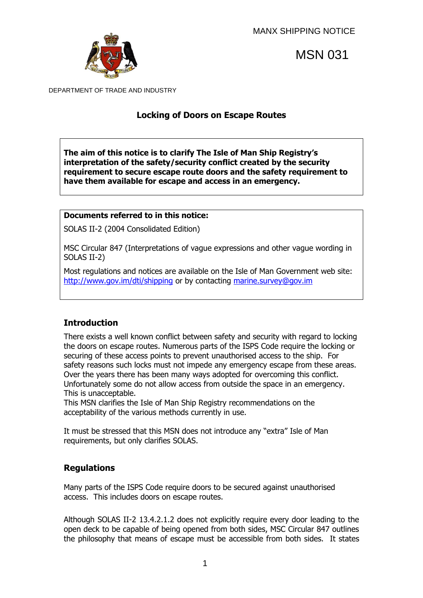

MSN 031

DEPARTMENT OF TRADE AND INDUSTRY

# **Locking of Doors on Escape Routes**

**The aim of this notice is to clarify The Isle of Man Ship Registry's interpretation of the safety/security conflict created by the security requirement to secure escape route doors and the safety requirement to have them available for escape and access in an emergency.** 

#### **Documents referred to in this notice:**

SOLAS II-2 (2004 Consolidated Edition)

MSC Circular 847 (Interpretations of vague expressions and other vague wording in SOLAS II-2)

Most regulations and notices are available on the Isle of Man Government web site: <http://www.gov.im/dti/shipping> or by contacting [marine.survey@gov.im](mailto:marine.survey@gov.im)

# **Introduction**

There exists a well known conflict between safety and security with regard to locking the doors on escape routes. Numerous parts of the ISPS Code require the locking or securing of these access points to prevent unauthorised access to the ship. For safety reasons such locks must not impede any emergency escape from these areas. Over the years there has been many ways adopted for overcoming this conflict. Unfortunately some do not allow access from outside the space in an emergency. This is unacceptable.

This MSN clarifies the Isle of Man Ship Registry recommendations on the acceptability of the various methods currently in use.

It must be stressed that this MSN does not introduce any "extra" Isle of Man requirements, but only clarifies SOLAS.

### **Regulations**

Many parts of the ISPS Code require doors to be secured against unauthorised access. This includes doors on escape routes.

Although SOLAS II-2 13.4.2.1.2 does not explicitly require every door leading to the open deck to be capable of being opened from both sides, MSC Circular 847 outlines the philosophy that means of escape must be accessible from both sides. It states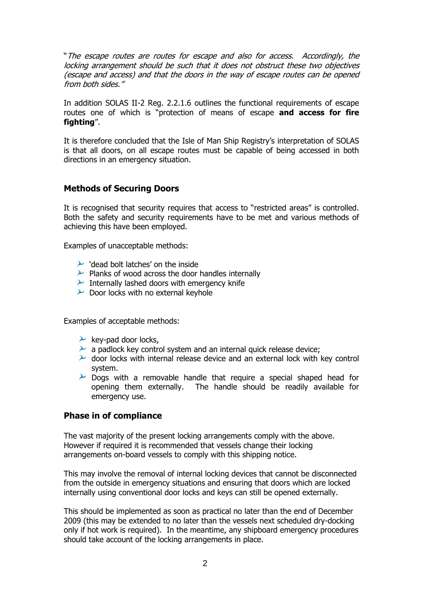"The escape routes are routes for escape and also for access. Accordingly, the locking arrangement should be such that it does not obstruct these two objectives (escape and access) and that the doors in the way of escape routes can be opened from both sides."

In addition SOLAS II-2 Reg. 2.2.1.6 outlines the functional requirements of escape routes one of which is "protection of means of escape **and access for fire fighting**".

It is therefore concluded that the Isle of Man Ship Registry"s interpretation of SOLAS is that all doors, on all escape routes must be capable of being accessed in both directions in an emergency situation.

### **Methods of Securing Doors**

It is recognised that security requires that access to "restricted areas" is controlled. Both the safety and security requirements have to be met and various methods of achieving this have been employed.

Examples of unacceptable methods:

- $\sim$  'dead bolt latches' on the inside
- $\mathcal P$  Planks of wood across the door handles internally
- $\lambda$  Internally lashed doors with emergency knife
- $\sim$  Door locks with no external keyhole

Examples of acceptable methods:

- $\lambda$  key-pad door locks,
- $\lambda$  a padlock key control system and an internal quick release device;
- $\blacktriangleright$  door locks with internal release device and an external lock with key control system.
- $\overline{P}$  Dogs with a removable handle that require a special shaped head for opening them externally. The handle should be readily available for emergency use.

#### **Phase in of compliance**

The vast majority of the present locking arrangements comply with the above. However if required it is recommended that vessels change their locking arrangements on-board vessels to comply with this shipping notice.

This may involve the removal of internal locking devices that cannot be disconnected from the outside in emergency situations and ensuring that doors which are locked internally using conventional door locks and keys can still be opened externally.

This should be implemented as soon as practical no later than the end of December 2009 (this may be extended to no later than the vessels next scheduled dry-docking only if hot work is required). In the meantime, any shipboard emergency procedures should take account of the locking arrangements in place.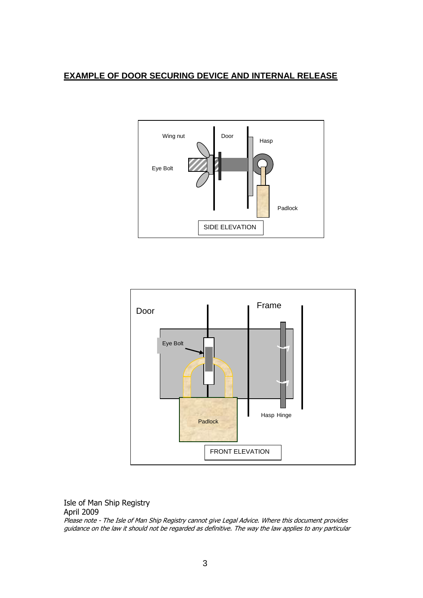## **EXAMPLE OF DOOR SECURING DEVICE AND INTERNAL RELEASE**





Isle of Man Ship Registry

April 2009

Please note - The Isle of Man Ship Registry cannot give Legal Advice. Where this document provides guidance on the law it should not be regarded as definitive. The way the law applies to any particular